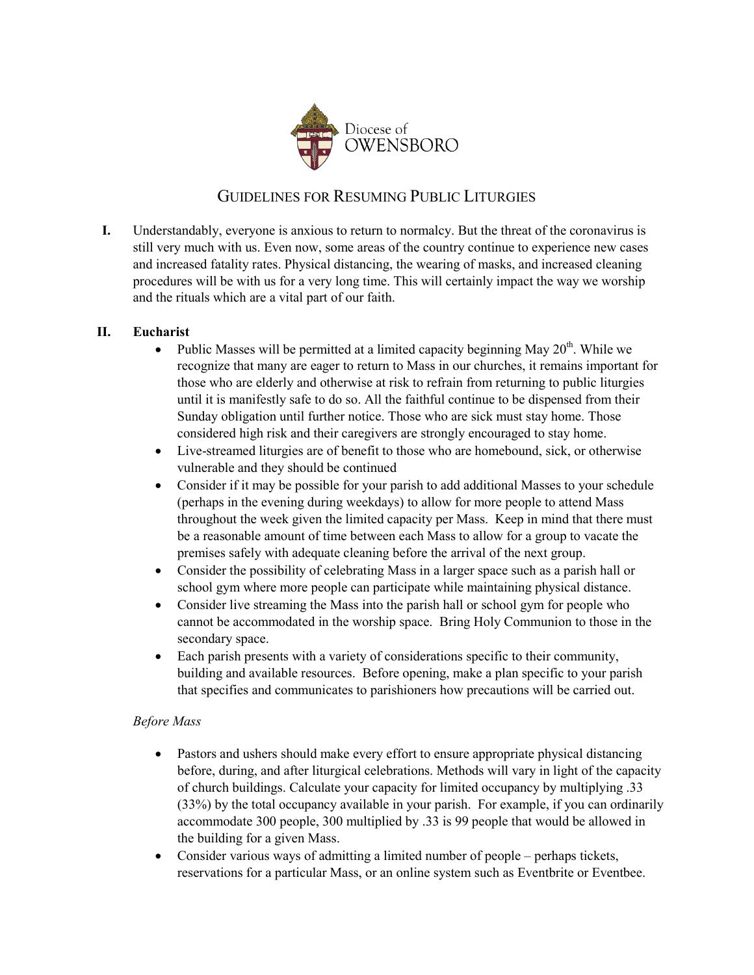

# GUIDELINES FOR RESUMING PUBLIC LITURGIES

**I.** Understandably, everyone is anxious to return to normalcy. But the threat of the coronavirus is still very much with us. Even now, some areas of the country continue to experience new cases and increased fatality rates. Physical distancing, the wearing of masks, and increased cleaning procedures will be with us for a very long time. This will certainly impact the way we worship and the rituals which are a vital part of our faith.

## **II. Eucharist**

- Public Masses will be permitted at a limited capacity beginning May  $20<sup>th</sup>$ . While we recognize that many are eager to return to Mass in our churches, it remains important for those who are elderly and otherwise at risk to refrain from returning to public liturgies until it is manifestly safe to do so. All the faithful continue to be dispensed from their Sunday obligation until further notice. Those who are sick must stay home. Those considered high risk and their caregivers are strongly encouraged to stay home.
- Live-streamed liturgies are of benefit to those who are homebound, sick, or otherwise vulnerable and they should be continued
- Consider if it may be possible for your parish to add additional Masses to your schedule (perhaps in the evening during weekdays) to allow for more people to attend Mass throughout the week given the limited capacity per Mass. Keep in mind that there must be a reasonable amount of time between each Mass to allow for a group to vacate the premises safely with adequate cleaning before the arrival of the next group.
- Consider the possibility of celebrating Mass in a larger space such as a parish hall or school gym where more people can participate while maintaining physical distance.
- Consider live streaming the Mass into the parish hall or school gym for people who cannot be accommodated in the worship space. Bring Holy Communion to those in the secondary space.
- Each parish presents with a variety of considerations specific to their community, building and available resources. Before opening, make a plan specific to your parish that specifies and communicates to parishioners how precautions will be carried out.

#### *Before Mass*

- Pastors and ushers should make every effort to ensure appropriate physical distancing before, during, and after liturgical celebrations. Methods will vary in light of the capacity of church buildings. Calculate your capacity for limited occupancy by multiplying .33 (33%) by the total occupancy available in your parish. For example, if you can ordinarily accommodate 300 people, 300 multiplied by .33 is 99 people that would be allowed in the building for a given Mass.
- Consider various ways of admitting a limited number of people perhaps tickets, reservations for a particular Mass, or an online system such as Eventbrite or Eventbee.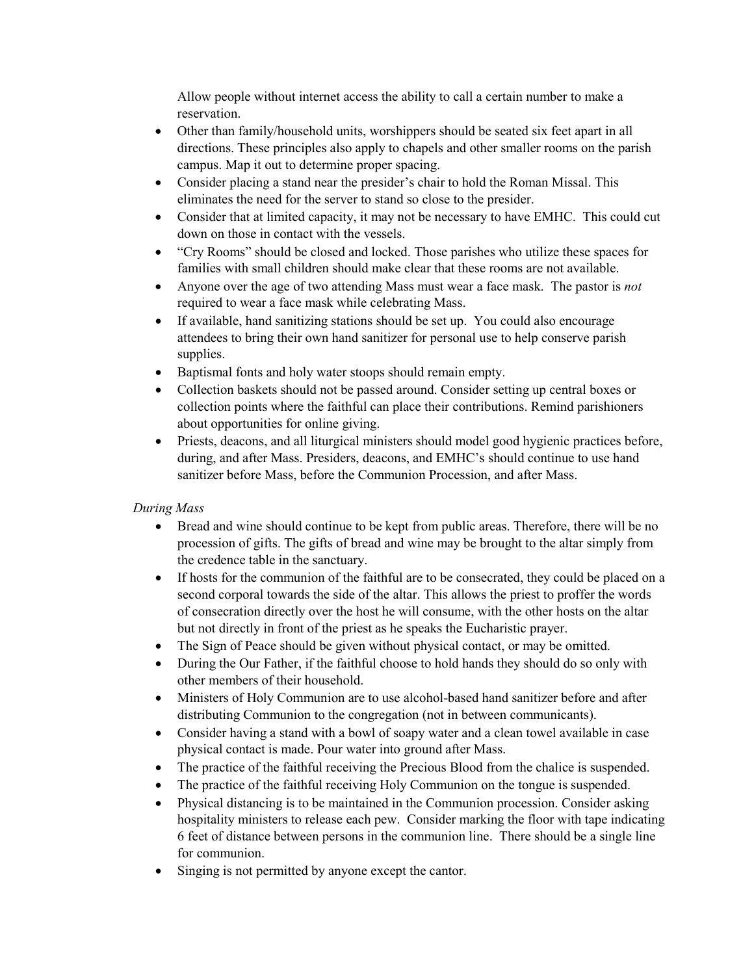Allow people without internet access the ability to call a certain number to make a reservation.

- Other than family/household units, worshippers should be seated six feet apart in all directions. These principles also apply to chapels and other smaller rooms on the parish campus. Map it out to determine proper spacing.
- Consider placing a stand near the presider's chair to hold the Roman Missal. This eliminates the need for the server to stand so close to the presider.
- Consider that at limited capacity, it may not be necessary to have EMHC. This could cut down on those in contact with the vessels.
- "Cry Rooms" should be closed and locked. Those parishes who utilize these spaces for families with small children should make clear that these rooms are not available.
- Anyone over the age of two attending Mass must wear a face mask. The pastor is *not*  required to wear a face mask while celebrating Mass.
- If available, hand sanitizing stations should be set up. You could also encourage attendees to bring their own hand sanitizer for personal use to help conserve parish supplies.
- Baptismal fonts and holy water stoops should remain empty.
- Collection baskets should not be passed around. Consider setting up central boxes or collection points where the faithful can place their contributions. Remind parishioners about opportunities for online giving.
- Priests, deacons, and all liturgical ministers should model good hygienic practices before, during, and after Mass. Presiders, deacons, and EMHC's should continue to use hand sanitizer before Mass, before the Communion Procession, and after Mass.

## *During Mass*

- Bread and wine should continue to be kept from public areas. Therefore, there will be no procession of gifts. The gifts of bread and wine may be brought to the altar simply from the credence table in the sanctuary.
- If hosts for the communion of the faithful are to be consecrated, they could be placed on a second corporal towards the side of the altar. This allows the priest to proffer the words of consecration directly over the host he will consume, with the other hosts on the altar but not directly in front of the priest as he speaks the Eucharistic prayer.
- The Sign of Peace should be given without physical contact, or may be omitted.
- During the Our Father, if the faithful choose to hold hands they should do so only with other members of their household.
- Ministers of Holy Communion are to use alcohol-based hand sanitizer before and after distributing Communion to the congregation (not in between communicants).
- Consider having a stand with a bowl of soapy water and a clean towel available in case physical contact is made. Pour water into ground after Mass.
- The practice of the faithful receiving the Precious Blood from the chalice is suspended.
- The practice of the faithful receiving Holy Communion on the tongue is suspended.
- Physical distancing is to be maintained in the Communion procession. Consider asking hospitality ministers to release each pew. Consider marking the floor with tape indicating 6 feet of distance between persons in the communion line. There should be a single line for communion.
- Singing is not permitted by anyone except the cantor.